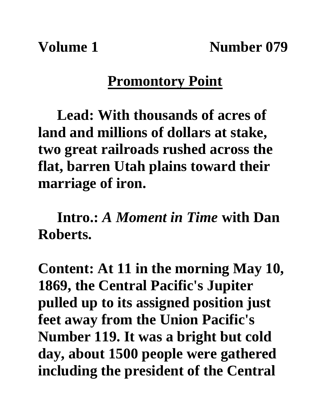**Volume 1** Number 079

## **Promontory Point**

**Lead: With thousands of acres of land and millions of dollars at stake, two great railroads rushed across the flat, barren Utah plains toward their marriage of iron.**

**Intro.:** *A Moment in Time* **with Dan Roberts.**

**Content: At 11 in the morning May 10, 1869, the Central Pacific's Jupiter pulled up to its assigned position just feet away from the Union Pacific's Number 119. It was a bright but cold day, about 1500 people were gathered including the president of the Central**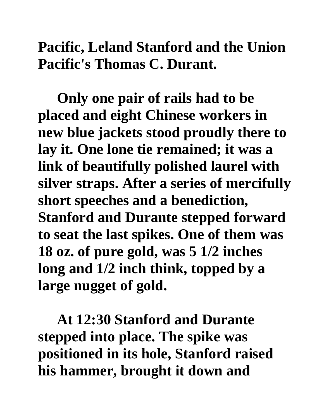## **Pacific, Leland Stanford and the Union Pacific's Thomas C. Durant.**

**Only one pair of rails had to be placed and eight Chinese workers in new blue jackets stood proudly there to lay it. One lone tie remained; it was a link of beautifully polished laurel with silver straps. After a series of mercifully short speeches and a benediction, Stanford and Durante stepped forward to seat the last spikes. One of them was 18 oz. of pure gold, was 5 1/2 inches long and 1/2 inch think, topped by a large nugget of gold.** 

**At 12:30 Stanford and Durante stepped into place. The spike was positioned in its hole, Stanford raised his hammer, brought it down and**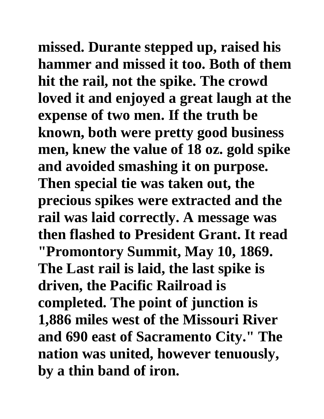**missed. Durante stepped up, raised his hammer and missed it too. Both of them hit the rail, not the spike. The crowd loved it and enjoyed a great laugh at the expense of two men. If the truth be known, both were pretty good business men, knew the value of 18 oz. gold spike and avoided smashing it on purpose. Then special tie was taken out, the precious spikes were extracted and the rail was laid correctly. A message was then flashed to President Grant. It read "Promontory Summit, May 10, 1869. The Last rail is laid, the last spike is driven, the Pacific Railroad is completed. The point of junction is 1,886 miles west of the Missouri River and 690 east of Sacramento City." The nation was united, however tenuously, by a thin band of iron.**